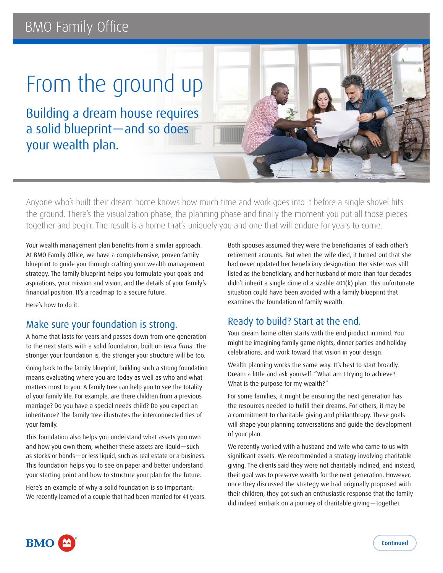# **BMO Family Office**

# From the ground up

Building a dream house requires a solid blueprint—and so does your wealth plan.



Anyone who's built their dream home knows how much time and work goes into it before a single shovel hits the ground. There's the visualization phase, the planning phase and finally the moment you put all those pieces together and begin. The result is a home that's uniquely you and one that will endure for years to come.

Your wealth management plan benefits from a similar approach. At BMO Family Office, we have a comprehensive, proven family blueprint to guide you through crafting your wealth management strategy. The family blueprint helps you formulate your goals and aspirations, your mission and vision, and the details of your family's financial position. It's a roadmap to a secure future.

Here's how to do it.

## Make sure your foundation is strong.

A home that lasts for years and passes down from one generation to the next starts with a solid foundation, built on *terra firma.* The stronger your foundation is, the stronger your structure will be too.

Going back to the family blueprint, building such a strong foundation means evaluating where you are today as well as who and what matters most to you. A family tree can help you to see the totality of your family life. For example, are there children from a previous marriage? Do you have a special needs child? Do you expect an inheritance? The family tree illustrates the interconnected ties of your family.

This foundation also helps you understand what assets you own and how you own them, whether these assets are liquid—such as stocks or bonds—or less liquid, such as real estate or a business. This foundation helps you to see on paper and better understand your starting point and how to structure your plan for the future.

Here's an example of why a solid foundation is so important: We recently learned of a couple that had been married for 41 years. Both spouses assumed they were the beneficiaries of each other's retirement accounts. But when the wife died, it turned out that she had never updated her beneficiary designation. Her sister was still listed as the beneficiary, and her husband of more than four decades didn't inherit a single dime of a sizable 401(k) plan. This unfortunate situation could have been avoided with a family blueprint that examines the foundation of family wealth.

# Ready to build? Start at the end.

Your dream home often starts with the end product in mind. You might be imagining family game nights, dinner parties and holiday celebrations, and work toward that vision in your design.

Wealth planning works the same way. It's best to start broadly. Dream a little and ask yourself: "What am I trying to achieve? What is the purpose for my wealth?"

For some families, it might be ensuring the next generation has the resources needed to fulfill their dreams. For others, it may be a commitment to charitable giving and philanthropy. These goals will shape your planning conversations and guide the development of your plan.

We recently worked with a husband and wife who came to us with significant assets. We recommended a strategy involving charitable giving. The clients said they were not charitably inclined, and instead, their goal was to preserve wealth for the next generation. However, once they discussed the strategy we had originally proposed with their children, they got such an enthusiastic response that the family did indeed embark on a journey of charitable giving—together.

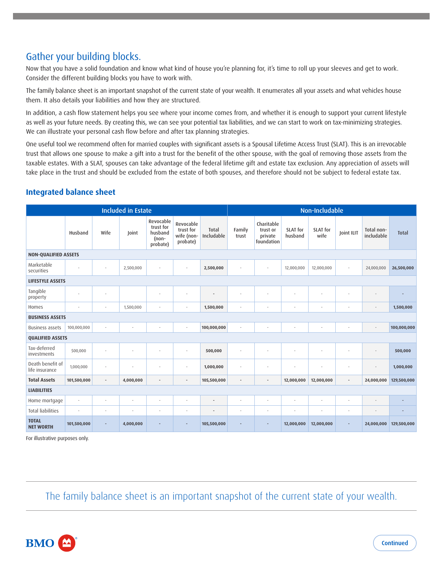# Gather your building blocks.

Now that you have a solid foundation and know what kind of house you're planning for, it's time to roll up your sleeves and get to work. Consider the different building blocks you have to work with.

The family balance sheet is an important snapshot of the current state of your wealth. It enumerates all your assets and what vehicles house them. It also details your liabilities and how they are structured.

In addition, a cash flow statement helps you see where your income comes from, and whether it is enough to support your current lifestyle as well as your future needs. By creating this, we can see your potential tax liabilities, and we can start to work on tax-minimizing strategies. We can illustrate your personal cash flow before and after tax planning strategies.

One useful tool we recommend often for married couples with significant assets is a Spousal Lifetime Access Trust (SLAT). This is an irrevocable trust that allows one spouse to make a gift into a trust for the benefit of the other spouse, with the goal of removing those assets from the taxable estates. With a SLAT, spouses can take advantage of the federal lifetime gift and estate tax exclusion. Any appreciation of assets will take place in the trust and should be excluded from the estate of both spouses, and therefore should not be subject to federal estate tax.

#### **Integrated balance sheet**

| <b>Included in Estate</b>          |                          |                |           |                                                        | Non-Includable                                   |                     |                          |                                                 |                            |                         |                |                          |              |
|------------------------------------|--------------------------|----------------|-----------|--------------------------------------------------------|--------------------------------------------------|---------------------|--------------------------|-------------------------------------------------|----------------------------|-------------------------|----------------|--------------------------|--------------|
|                                    | Husband                  | Wife           | Joint     | Revocable<br>trust for<br>husband<br>(non-<br>probate) | Revocable<br>trust for<br>wife (non-<br>probate) | Total<br>Includable | Family<br>trust          | Charitable<br>trust or<br>private<br>foundation | <b>SLAT</b> for<br>husband | <b>SLAT</b> for<br>wife | Joint ILIT     | Total non-<br>includable | <b>Total</b> |
| <b>NON-QUALIFIED ASSETS</b>        |                          |                |           |                                                        |                                                  |                     |                          |                                                 |                            |                         |                |                          |              |
| Marketable<br>securities           | ÷                        |                | 2,500,000 | ÷,                                                     |                                                  | 2,500,000           |                          | $\overline{\phantom{a}}$                        | 12,000,000                 | 12,000,000              | ٠              | 24,000,000               | 26,500,000   |
| <b>LIFESTYLE ASSETS</b>            |                          |                |           |                                                        |                                                  |                     |                          |                                                 |                            |                         |                |                          |              |
| Tangible<br>property               |                          |                |           | ٠                                                      |                                                  |                     |                          |                                                 |                            |                         |                |                          |              |
| Homes                              | $\overline{\phantom{a}}$ |                | 1,500,000 | ٠                                                      |                                                  | 1,500,000           | ÷,                       |                                                 | ä,                         | ٠                       | ÷,             |                          | 1,500,000    |
| <b>BUSINESS ASSETS</b>             |                          |                |           |                                                        |                                                  |                     |                          |                                                 |                            |                         |                |                          |              |
| <b>Business assets</b>             | 100,000,000              |                | ٠         | ٠                                                      | ٠                                                | 100,000,000         | ٠                        | ٠                                               | ٠                          | ٠                       | ٠              |                          | 100,000,000  |
| <b>QUALIFIED ASSETS</b>            |                          |                |           |                                                        |                                                  |                     |                          |                                                 |                            |                         |                |                          |              |
| Tax-deferred<br>investments        | 500,000                  |                | ÷,        | ٠                                                      |                                                  | 500,000             |                          |                                                 |                            |                         | ÷,             |                          | 500,000      |
| Death benefit of<br>life insurance | 1,000,000                |                |           |                                                        |                                                  | 1,000,000           | ٠                        |                                                 |                            |                         |                |                          | 1,000,000    |
| <b>Total Assets</b>                | 101,500,000              | $\overline{a}$ | 4,000,000 | $\overline{a}$                                         | $\overline{\phantom{a}}$                         | 105,500,000         | $\overline{a}$           | $\overline{\phantom{a}}$                        | 12,000,000                 | 12,000,000              | $\overline{a}$ | 24,000,000               | 129,500,000  |
| <b>LIABILITIES</b>                 |                          |                |           |                                                        |                                                  |                     |                          |                                                 |                            |                         |                |                          |              |
| Home mortgage                      | $\overline{\phantom{a}}$ | $\sim$         | ٠         | ٠                                                      |                                                  | $\overline{a}$      | $\overline{\phantom{a}}$ | ٠                                               | ÷,                         | $\sim$                  | ÷,             | ÷                        |              |
| <b>Total liabilities</b>           | ÷,                       |                | ÷,        | ÷,                                                     |                                                  | ÷                   | ÷,                       | $\overline{\phantom{a}}$                        | ä,                         | ٠                       | ٠              | $\overline{\phantom{a}}$ |              |
| <b>TOTAL</b><br><b>NET WORTH</b>   | 101,500,000              |                | 4,000,000 |                                                        |                                                  | 105,500,000         |                          |                                                 | 12,000,000                 | 12,000,000              |                | 24,000,000               | 129,500,000  |

For illustrative purposes only.

The family balance sheet is an important snapshot of the current state of your wealth.

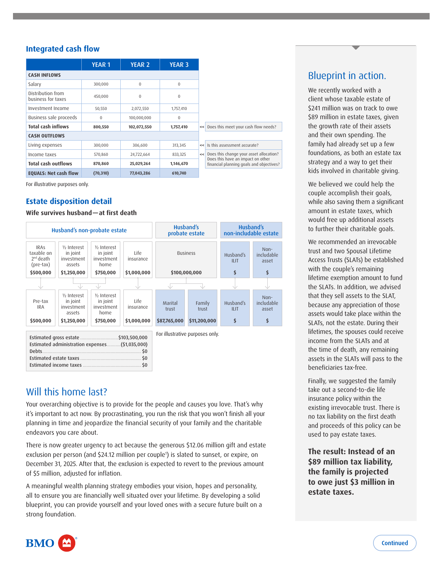#### **Integrated cash flow**

|                                         | <b>YEAR 1</b> | <b>YEAR 2</b> | <b>YEAR 3</b> |
|-----------------------------------------|---------------|---------------|---------------|
| <b>CASH INFLOWS</b>                     |               |               |               |
| Salary                                  | 300,000       | $\mathbf{0}$  | $\mathbf{0}$  |
| Distribution from<br>business for taxes | 450,000       | $\mathbf{0}$  | $\mathbf{0}$  |
| Investment Income                       | 50,550        | 2,072,550     | 1,757,410     |
| Business sale proceeds                  | $\Omega$      | 100,000,000   | $\mathbf 0$   |
| <b>Total cash inflows</b>               | 800,550       | 102,072,550   | 1,757,410     |
| <b>CASH OUTFLOWS</b>                    |               |               |               |
| Living expenses                         | 300,000       | 306,600       | 313,345       |
| Income taxes                            | 570,860       | 24,722,664    | 833,325       |
| <b>Total cash outflows</b>              | 870,860       | 25,029,264    | 1,146,670     |
| <b>EQUALS: Net cash flow</b>            | (70, 310)     | 77,043,286    | 610,740       |

For illustrative purposes only.

#### **Estate disposition detail**

**Wife survives husband—at first death**

|                                                       | Husband's non-probate estate                                                            |                                                            |                   |                  | Husband's<br>probate estate     | Husband's<br>non-includable estate |                             |  |
|-------------------------------------------------------|-----------------------------------------------------------------------------------------|------------------------------------------------------------|-------------------|------------------|---------------------------------|------------------------------------|-----------------------------|--|
| <b>IRAS</b><br>taxable on<br>$2nd$ death<br>(pre-tax) | 1/ <sub>2</sub> Interest<br>in joint<br>investment<br>assets                            | 1/ <sub>b</sub> Interest<br>in joint<br>investment<br>home | Life<br>insurance |                  | <b>Business</b>                 | Husband's<br><b>ILIT</b>           | Non-<br>includable<br>asset |  |
| \$500,000                                             | \$1,250,000                                                                             | \$750,000                                                  | \$1,000,000       | \$100,000,000    |                                 | \$                                 | \$                          |  |
|                                                       | NZ.                                                                                     |                                                            |                   | NZ.              |                                 |                                    |                             |  |
| Pre-tax<br><b>IRA</b>                                 | 1/ <sub>2</sub> Interest<br>in joint<br>investment<br>assets                            | 1/ <sub>b</sub> Interest<br>in joint<br>investment<br>home | Life<br>insurance | Marital<br>trust | Family<br>trust                 | Husband's<br><b>ILIT</b>           | Non-<br>includable<br>asset |  |
| \$500,000                                             | \$1,250,000                                                                             | \$750,000                                                  | \$1,000,000       | \$87,765,000     | \$11,200,000                    | \$                                 | \$                          |  |
|                                                       | Estimated gross estate  \$103,500,000<br>Estimated administration expenses(\$1,035,000) |                                                            |                   |                  | For illustrative purposes only. |                                    |                             |  |

# Will this home last?

Estimated income taxes .............................................. \$0

Your overarching objective is to provide for the people and causes you love. That's why it's important to act now. By procrastinating, you run the risk that you won't finish all your planning in time and jeopardize the financial security of your family and the charitable endeavors you care about.

There is now greater urgency to act because the generous \$12.06 million gift and estate exclusion per person (and \$24.12 million per couple<sup>1</sup>) is slated to sunset, or expire, on December 31, 2025. After that, the exclusion is expected to revert to the previous amount of \$5 million, adjusted for inflation.

A meaningful wealth planning strategy embodies your vision, hopes and personality, all to ensure you are financially well situated over your lifetime. By developing a solid blueprint, you can provide yourself and your loved ones with a secure future built on a strong foundation.

# Blueprint in action.

We recently worked with a client whose taxable estate of \$241 million was on track to owe \$89 million in estate taxes, given the growth rate of their assets and their own spending. The family had already set up a few foundations, as both an estate tax strategy and a way to get their kids involved in charitable giving.

We believed we could help the couple accomplish their goals, while also saving them a significant amount in estate taxes, which would free up additional assets to further their charitable goals.

We recommended an irrevocable trust and two Spousal Lifetime Access Trusts (SLATs) be established with the couple's remaining lifetime exemption amount to fund the SLATs. In addition, we advised that they sell assets to the SLAT, because any appreciation of those assets would take place within the SLATs, not the estate. During their lifetimes, the spouses could receive income from the SLATs and at the time of death, any remaining assets in the SLATs will pass to the beneficiaries tax-free.

Finally, we suggested the family take out a second-to-die life insurance policy within the existing irrevocable trust. There is no tax liability on the first death and proceeds of this policy can be used to pay estate taxes.

**The result: Instead of an \$89 million tax liability, the family is projected to owe just \$3 million in estate taxes.**